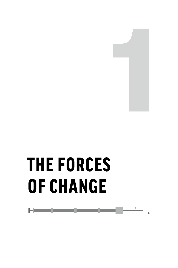

# THE FORCES OF CHANGE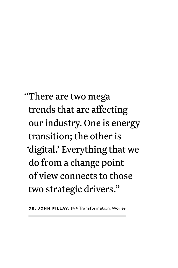"There are two mega trends that are affecting our industry. One is energy transition; the other is 'digital.' Everything that we do from a change point of view connects to those two strategic drivers."

**Dr. John Pillay,** SVP Transformation, Worley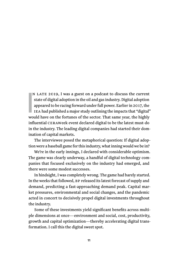**I**<br>I<br>I<br>I<br>I N LATE 2019, I was a guest on a podcast to discuss the current state of digital adoption in the oil and gas industry. Digital adoption appeared to be racing forward under full power. Earlier in 2017, the IEA had published a major study outlining the impacts that "digital" would have on the fortunes of the sector. That same year, the highly influential CERAWeek event declared digital to be the latest must-do in the industry. The leading digital companies had started their domination of capital markets.

The interviewee posed the metaphorical question: If digital adoption were a baseball game for this industry, what inning would we be in?

We're in the early innings, I declared with considerable optimism. The game was clearly underway, a handful of digital technology companies that focused exclusively on the industry had emerged, and there were some modest successes.

In hindsight, I was completely wrong. The game had barely started. In the weeks that followed, BP released its latest forecast of supply and demand, predicting a fast-approaching demand peak. Capital market pressures, environmental and social changes, and the pandemic acted in concert to decisively propel digital investments throughout the industry.

Some of these investments yield significant benefits across multiple dimensions at once—environment and social, cost, productivity, growth and capital optimization—thereby accelerating digital transformation. I call this the digital sweet spot.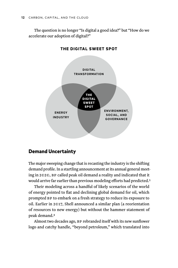The question is no longer "Is digital a good idea?" but "How do we accelerate our adoption of digital?"



# THE DIGITAL SWEET SPOT

# Demand Uncertainty

The major sweeping change that is recasting the industry is the shifting demand profile. In a startling announcement at its annual general meeting in 2020, BP called peak oil demand a reality and indicated that it would arrive far earlier than previous modeling efforts had predicted.<sup>1</sup>

Their modeling across a handful of likely scenarios of the world of energy pointed to flat and declining global demand for oil, which prompted BP to embark on a fresh strategy to reduce its exposure to oil. Earlier in 2017, Shell announced a similar plan (a reorientation of resources to new energy) but without the hammer statement of peak demand.2

Almost two decades ago, BP rebranded itself with its new sunflower logo and catchy handle, "beyond petroleum," which translated into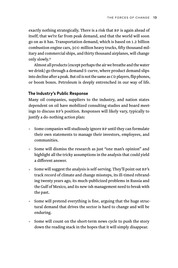exactly nothing strategically. There is a risk that BP is again ahead of itself; that we're far from peak demand, and that the world will soon go on as it has. Transportation demand, which is based on 1.2 billion combustion engine cars, 300 million heavy trucks, fifty thousand military and commercial ships, and thirty thousand airplanes, will change only slowly.3

Almost all products (except perhaps the air we breathe and the water we drink) go through a demand S-curve, where product demand slips into decline after a peak. But oil is not the same as CD players, flip phones, or boom boxes. Petroleum is deeply entrenched in our way of life.

# **The Industry's Public Response**

Many oil companies, suppliers to the industry, and nation states dependent on oil have mobilized consulting studies and board meetings to discuss BP's position. Responses will likely vary, typically to justify a do-nothing action plan:

- **•** Some companies will studiously ignore BP until they can formulate their own statements to manage their investors, employees, and communities.
- **•** Some will dismiss the research as just "one man's opinion" and highlight all the tricky assumptions in the analysis that could yield a different answer.
- Some will suggest the analysis is self-serving. They'll point out BP's track record of climate and change missteps, its ill-timed rebranding twenty years ago, its much-publicized problems in Russia and the Gulf of Mexico, and its new-ish management need to break with the past.
- **•** Some will pretend everything is fine, arguing that the huge structural demand that drives the sector is hard to change and will be enduring.
- **•** Some will count on the short-term news cycle to push the story down the reading stack in the hopes that it will simply disappear.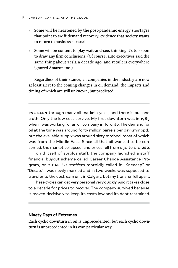- **•** Some will be heartened by the post-pandemic energy shortages that point to swift demand recovery, evidence that society wants to return to business as usual.
- **•** Some will be content to play wait-and-see, thinking it's too soon to draw any firm conclusions. (Of course, auto executives said the same thing about Tesla a decade ago, and retailers everywhere ignored Amazon too.)

Regardless of their stance, all companies in the industry are now at least alert to the coming changes in oil demand, the impacts and timing of which are still unknown, but predicted.

**I've been** through many oil market cycles, and there is but one truth. Only the low cost survive. My first downturn was in 1985 when I was working for an oil company in Toronto. The demand for oil at the time was around forty million **barrel**s per day (mmbpd) but the available supply was around sixty mmbpd, most of which was from the Middle East. Since all that oil wanted to be consumed, the market collapsed, and prices fell from \$30 to \$10 **USD**.

To rid itself of surplus staff, the company launched a staff financial buyout scheme called Career Change Assistance Program, or C-CAP. Us staffers morbidly called it "Kneecap" or "Decap." I was newly married and in two weeks was supposed to transfer to the upstream unit in Calgary, but my transfer fell apart.

These cycles can get very personal very quickly. And it takes close to a decade for prices to recover. The company survived because it moved decisively to keep its costs low and its debt restrained.

# **Ninety Days of Extremes**

Each cyclic downturn in oil is unprecedented, but each cyclic downturn is unprecedented in its own particular way.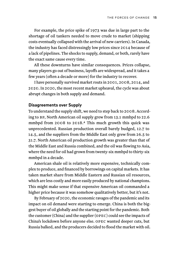For example, the price spike of 1973 was due in large part to the shortage of oil tankers needed to move crude to market (shipping costs eventually collapsed with the arrival of new carriers). In Canada, the industry has faced distressingly low prices since 2014 because of a lack of pipelines. The shocks to supply, demand, or both, rarely have the exact same cause every time.

All these downturns have similar consequences. Prices collapse, many players go out of business, layoffs are widespread, and it takes a few years (often a decade or more) for the industry to recover.

I have personally survived market routs in 2001, 2008, 2014, and 2020. In 2020, the most recent market upheaval, the cycle was about abrupt changes in both supply and demand.

## **Disagreements over Supply**

To understand the supply shift, we need to step back to 2008. According to BP, North American oil supply grew from 13.1 mmbpd to 22.6 mmbpd from 2008 to 2018.4 This much growth this quick was unprecedented. Russian production overall barely budged, 12.7 to 14.5, and the suppliers from the Middle East only grew from 26.5 to 31.7. North American oil production growth was greater than that of the Middle East and Russia combined, and the oil was flowing to Asia, where the need for oil had grown from twenty-six mmbpd to thirty-six mmbpd in a decade.

American shale oil is relatively more expensive, technically complex to produce, and financed by borrowings on capital markets. It has taken market share from Middle Eastern and Russian oil resources, which are less costly and more easily produced by national champions. This might make sense if that expensive American oil commanded a higher price because it was somehow qualitatively better, but it's not.

By February of 2020, the economic ravages of the pandemic and its impact on oil demand were starting to emerge. China is both the biggest buyer of oil globally and the starting point for the pandemic. Both the customer (China) and the supplier (OPEC) could see the impacts of China's lockdown before anyone else. OPEC wanted deeper cuts, but Russia balked, and the producers decided to flood the market with oil.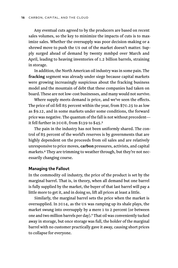Any eventual cuts agreed to by the producers are based on recent sales volumes, so the key to minimize the impacts of cuts is to maximize sales. Whether the oversupply was poor decision-making or a shrewd move to push the US out of the market doesn't matter. Supply surged ahead of demand by twenty mmbpd over March and April, leading to heaving inventories of 1.2 billion barrels, straining in storage.

In addition, the North American oil industry was in some pain. The **fracking** segment was already under siege because capital markets were growing increasingly suspicious about the fracking business model and the mountain of debt that these companies had taken on board. These are not low-cost businesses, and many would not survive.

Where supply meets demand is price, and we've seen the effects. The price of oil fell 85 percent within the year, from \$70.25 to as low as \$9.12, and in some markets under some conditions, the forward price was negative. The quantum of the fall is not without precedent it fell further in 2008, from \$139 to \$45.5

The pain in the industry has not been uniformly shared. The control of 85 percent of the world's reserves is by governments that are highly dependent on the proceeds from oil sales and are relatively unresponsive to price moves, **carbon** pressures, activists, and capital markets.<sup>6</sup> They are trimming to weather through, but they're not necessarily changing course.

## **Managing the Fallout**

In the commodity oil industry, the price of the product is set by the marginal barrel. That is, in theory, when all demand but one barrel is fully supplied by the market, the buyer of that last barrel will pay a little more to get it, and in doing so, lift all prices at least a little.

Similarly, the marginal barrel sets the price when the market is oversupplied. In 2014, as the US was ramping up its shale plays, the market swung into oversupply by a mere 1 to 2 percent (or between one and two million barrels per day).7 That oil was conveniently tucked away in storage, but once storage was full, the holder of the marginal barrel with no customer practically gave it away, causing short prices to collapse for everyone.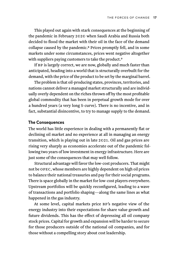This played out again with stark consequences at the beginning of the pandemic in February 2020 when Saudi Arabia and Russia both decided to flood the market with their oil in the face of the demand collapse caused by the pandemic.8 Prices promptly fell, and in some markets under some circumstances, prices went negative altogether with suppliers paying customers to take the product.<sup>9</sup>

If BP is largely correct, we are now, globally and much faster than anticipated, heading into a world that is structurally overbuilt for the demand, with the price of the product to be set by the marginal barrel.

The problem is that oil-producing states, provinces, territories, and nations cannot deliver a managed market structurally and are individually overly dependent on the riches thrown off by the most profitable global commodity that has been in perpetual growth mode for over a hundred years (a very long S-curve). There is no incentive, and in fact, substantial disincentive, to try to manage supply to the demand.

## **The Consequences**

The world has little experience in dealing with a permanently flat or declining oil market and no experience at all in managing an energy transition, which is playing out in late 2021. Oil and gas prices are rising very sharply as economies accelerate out of the pandemic following two years of low investment in energy infrastructure. Here are just some of the consequences that may well follow.

Structural advantage will favor the low-cost producers. That might not be OPEC, whose members are highly dependent on high oil prices to balance their national treasuries and pay for their social programs. There is space globally in the market for low-cost players everywhere. Upstream portfolios will be quickly reconfigured, leading to a wave of transactions and portfolio shaping—along the same lines as what happened in the gas industry.

At some level, capital markets price BP's negative view of the energy industry into their expectations for share value growth and future dividends. This has the effect of depressing all oil company stock prices. Capital for growth and expansion will be harder to secure for those producers outside of the national oil companies, and for those without a compelling story about cost leadership.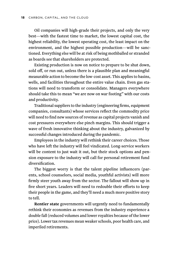Oil companies will high-grade their projects, and only the very best—with the fastest time to market, the lowest capital cost, the highest reliability, the lowest operating cost, the least impact on the environment, and the highest possible production—will be sanctioned. Everything else will be at risk of being mothballed or stranded as boards see that shareholders are protected.

Existing production is now on notice to prepare to be shut down, sold off, or run out, unless there is a plausible plan and meaningful measurable action to become the low-cost asset. This applies to basins, wells, and facilities throughout the entire value chain. Even gas stations will need to transform or consolidate. Managers everywhere should take this to mean "we are now on war footing" with our costs and productivity.

Traditional suppliers to the industry (engineering firms, equipment companies, consultants) whose services reflect the commodity price will need to find new sources of revenue as capital projects vanish and cost pressures everywhere else pinch margins. This should trigger a wave of fresh innovative thinking about the industry, galvanized by successful changes introduced during the pandemic.

Employees in the industry will rethink their career choices. Those who have left the industry will feel vindicated. Long-service workers will be content to just wait it out, but their stock options and pension exposure to the industry will call for personal retirement fund diversification.

The biggest worry is that the talent pipeline influencers (parents, school counselors, social media, youthful activists) will more firmly steer youth away from the sector. The fallout will show up in five short years. Leaders will need to redouble their efforts to keep their people in the game, and they'll need a much more positive story to tell.

**Rentier state** governments will urgently need to fundamentally rethink their economies as revenues from the industry experience a double fall (reduced volumes and lower royalties because of the lower price). Lower tax revenues mean weaker schools, poor health care, and imperiled retirements.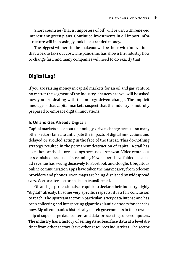Short countries (that is, importers of oil) will revisit with renewed interest any green plans. Continued investments in oil import infrastructure will increasingly look like stranded money.

The biggest winners in the shakeout will be those with innovations that work to take out cost. The pandemic has shown the industry how to change fast, and many companies will need to do exactly that.

# Digital Lag?

If you are raising money in capital markets for an oil and gas venture, no matter the segment of the industry, chances are you will be asked how you are dealing with technology-driven change. The implicit message is that capital markets suspect that the industry is not fully prepared to embrace digital innovations.

# **Is Oil and Gas Already Digital?**

Capital markets ask about technology-driven change because so many other sectors failed to anticipate the impacts of digital innovations and delayed or avoided acting in the face of the threat. This do-nothing strategy resulted in the permanent destruction of capital. Retail has seen thousands of store closings because of Amazon. Video rental outlets vanished because of streaming. Newspapers have folded because ad revenue has swung decisively to Facebook and Google. Ubiquitous online communication **app**s have taken the market away from telecom providers and phones. Even maps are being displaced by widespread **GPS**. Sector after sector has been transformed.

Oil and gas professionals are quick to declare their industry highly "digital" already. In some very specific respects, it is a fair conclusion to reach. The upstream sector in particular is very data intense and has been collecting and interpreting gigantic **seismic** datasets for decades now. Big oil companies historically match governments in their ownership of super-large data centers and data-processing supercomputers. The industry has a history of selling its **subsurface data** at a level distinct from other sectors (save other resources industries). The sector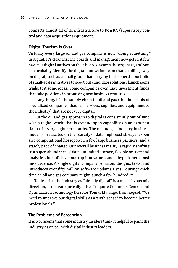connects almost all of its infrastructure to **SCADA** (supervisory control and data acquisition) equipment.

# **Digital Tourism Is Over**

Virtually every large oil and gas company is now "doing something" in digital. It's clear that the boards and management now get it. A few have put **digital native**s on their boards. Search the org chart, and you can probably identify the digital innovation team that is toiling away on digital, such as a small group that is trying to shepherd a portfolio of small-scale initiatives to scout out candidate solutions, launch some trials, test some ideas. Some companies even have investment funds that take positions in promising new business ventures.

If anything, it's the supply chain to oil and gas (the thousands of specialized companies that sell services, supplies, and equipment to the industry) that are not very digital.

But the oil and gas approach to digital is consistently out of sync with a digital world that is expanding in capability on an exponential basis every eighteen months. The oil and gas industry business model is predicated on the scarcity of data, high-cost storage, expensive computational horsepower, a few large business partners, and a stately pace of change. Our overall business reality is rapidly shifting to a super-abundance of data, unlimited storage, flexible on-demand analytics, lots of clever startup innovators, and a hyperkinetic business cadence. A single digital company, Amazon, designs, tests, and introduces over fifty million software updates a year, during which time an oil and gas company might launch a few hundred.<sup>10</sup>

To describe the industry as "already digital" is a mischievous misdirection, if not categorically false. To quote Customer Centric and Optimization Technology Director Tomas Malango, from Repsol, "We need to improve our digital skills as a 'sixth sense,' to become better professionals."

# **The Problems of Perception**

It is worrisome that some industry insiders think it helpful to paint the industry as on par with digital industry leaders.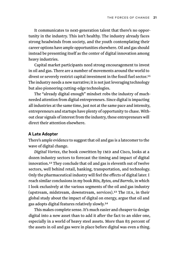It communicates to next-generation talent that there's no opportunity in the industry. This isn't healthy. The industry already faces strong headwinds from society, and the youth contemplating their career options have ample opportunities elsewhere. Oil and gas should instead be presenting itself as the center of digital innovation among heavy industries.

Capital market participants need strong encouragement to invest in oil and gas. There are a number of movements around the world to divest or severely restrict capital investment in the fossil fuel sector.<sup>11</sup> The industry needs a new narrative; it is not just leveraging technology but also pioneering cutting-edge technologies.

The "already digital enough" mindset robs the industry of muchneeded attention from digital entrepreneurs. Since digital is impacting all industries at the same time, just not at the same pace and intensity, entrepreneurs and startups have plenty of opportunity to chase. Without clear signals of interest from the industry, these entrepreneurs will direct their attention elsewhere.

# **A Late Adopter**

There's ample evidence to suggest that oil and gas is a latecomer to the wave of digital change.

*Digital Vortex*, the book cowritten by IMD and Cisco, looks at a dozen industry sectors to forecast the timing and impact of digital innovation.12 They conclude that oil and gas is eleventh out of twelve sectors, well behind retail, banking, transportation, and technology. Only the pharmaceutical industry will feel the effects of digital later. I reach similar conclusions in my book *Bits, Bytes, and Barrels*, in which I look exclusively at the various segments of the oil and gas industry (upstream, midstream, downstream, services).13 The IEA, in their global study about the impact of digital on energy, argue that oil and gas adopts digital features relatively slowly.14

This makes complete sense. It's much easier and cheaper to design digital into a new asset than to add it after the fact to an older one, especially in a world of heavy steel assets. More than 85 percent of the assets in oil and gas were in place before digital was even a thing.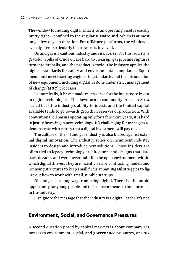The window for adding digital smarts to an operating asset is usually pretty tight—confined to the regular **turnaround**, which is at most only a few days in duration. For **offshore** platforms, the window is even tighter, particularly if hardware is involved.

Oil and gas is a cautious industry and risk averse. For this, society is grateful. Spills of crude oil are hard to clean up, gas pipeline ruptures turn into fireballs, and the product is toxic. The industry applies the highest standards for safety and environmental compliance. Equipment must meet exacting engineering standards, and the introduction of new equipment, including digital, is done under strict management of change (**MOC**) processes.

Economically, it hasn't made much sense for the industry to invest in digital technologies. The downturn in commodity prices in 2014 scaled back the industry's ability to invest, and the limited capital available tends to go towards growth in reserves or production. With conventional oil basins operating only for a few more years, it is hard to justify investing in new technology. It's challenging for managers to demonstrate with clarity that a digital investment will pay off.

The culture of the oil and gas industry is also biased against external digital innovation. The industry relies on incumbent industry insiders to design and introduce new solutions. Those insiders are often tied to legacy technology architectures and designs that date back decades and were never built for the open environment within which digital thrives. They are incentivized by contracting models and licensing structures to keep small firms at bay. Big Oil struggles to figure out how to work with small, nimble startups.

Oil and gas is a long way from being digital. There is still untold opportunity for young people and tech entrepreneurs to find fortunes in the industry.

Just ignore the message that the industry is a digital leader. It's not.

# Environment, Social, and Governance Pressures

A second question posed by capital markets is about company responses to environment, social, and **governance** pressures, or **ESG**.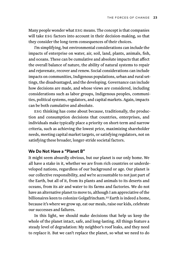Many people wonder what ESG means. The concept is that companies will take ESG factors into account in their decision-making, so that they consider the long-term consequences of their choices.

I'm simplifying, but environmental considerations can include the impacts of enterprise on water, air, soil, land, plants, animals, fish, and oceans. These can be cumulative and absolute impacts that affect the overall balance of nature, the ability of natural systems to repair and rejuvenate, recover and renew. Social considerations can include impacts on communities, Indigenous populations, urban and rural settings, the disadvantaged, and the developing. Governance can include how decisions are made, and whose views are considered, including considerations such as labor groups, Indigenous peoples, communities, political systems, regulators, and capital markets. Again, impacts can be both cumulative and absolute.

ESG thinking has come about because, traditionally, the production and consumption decisions that countries, enterprises, and individuals make typically place a priority on short-term and narrow criteria, such as achieving the lowest price, maximizing shareholder needs, meeting capital market targets, or satisfying regulators, not on satisfying these broader, longer-stride societal factors.

# **We Do Not Have a "Planet B"**

It might seem absurdly obvious, but our planet is our only home. We all have a stake in it, whether we are from rich countries or underdeveloped nations, regardless of our background or age. Our planet is our collective responsibility, and we're accountable to not just part of the Earth, but all of it, from its plants and animals to its deserts and oceans, from its air and water to its farms and factories. We do not have an alternative planet to move to, although I am appreciative of the billionaires keen to colonize Golgafrincham.15 Earth is indeed a home, because it's where we grow up, eat our meals, raise our kids, celebrate our successes and failures.

In this light, we should make decisions that help us keep the whole of the planet intact, safe, and long-lasting. All things feature a steady level of degradation: My neighbor's roof leaks, and they need to replace it. But we can't replace the planet, so what we need to do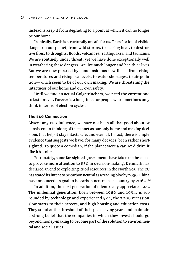instead is keep it from degrading to a point at which it can no longer be our home.

Ironically, Earth is structurally unsafe for us. There's a lot of visible danger on our planet, from wild storms, to searing heat, to destructive fires, to droughts, floods, volcanoes, earthquakes, and tsunamis. We are routinely under threat, yet we have done exceptionally well in weathering these dangers. We live much longer and healthier lives. But we are now pursued by some insidious new foes—from rising temperatures and rising sea levels, to water shortages, to air pollution—which seem to be of our own making. We are threatening the intactness of our home and our own safety.

Until we find an actual Golgafrincham, we need the current one to last forever. Forever is a long time, for people who sometimes only think in terms of election cycles.

## **The ESG Connection**

Absent any ESG influence, we have not been all that good about or consistent in thinking of the planet as our only home and making decisions that help it stay intact, safe, and eternal. In fact, there is ample evidence that suggests we have, for many decades, been rather shortsighted. To quote a comedian, if the planet were a car, we'd drive it like it's stolen.

Fortunately, some far-sighted governments have taken up the cause to provoke more attention to ESG in decision-making. Denmark has declared an end to exploiting its oil resources in the North Sea. The EU has stated its intent to be carbon neutral as a trading bloc by 2050. China has announced its goal to be carbon neutral as a country by 2060.<sup>16</sup>

In addition, the next generation of talent really appreciates ESG. The millennial generation, born between 1980 and 1994, is surrounded by technology and experienced 9/11, the 2008 recession, slow starts to their careers, and high housing and education costs. They stand at the threshold of their peak saving years and maintain a strong belief that the companies in which they invest should go beyond money-making to become part of the solution to environmental and social issues.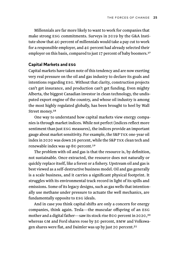Millennials are far more likely to want to work for companies that make strong ESG commitments. Surveys in 2019 by the G&A Institute show that 40 percent of millennials would take a pay cut to work for a responsible employer, and 40 percent had already selected their employer on this basis, compared to just 17 percent of baby boomers.<sup>17</sup>

# **Capital Markets and ESG**

Capital markets have taken note of this tendency and are now exerting very real pressure on the oil and gas industry to declare its goals and intentions regarding ESG. Without that clarity, construction projects can't get insurance, and production can't get funding. Even mighty Alberta, the biggest Canadian investor in clean technology, the undisputed export engine of the country, and whose oil industry is among the most highly regulated globally, has been brought to heel by Wall Street money.18

One way to understand how capital markets view energy companies is through market indices. While not perfect (indices reflect more sentiment than just ESG measures), the indices provide an important gauge about market sensitivity. For example, the S&P TSX one-year oil index in 2020 was down 26 percent, while the S&P TSX clean tech and renewable index was up 80 percent.19

The problem with oil and gas is that the resource is, by definition, not sustainable. Once extracted, the resource does not naturally or quickly replace itself, like a forest or a fishery. Upstream oil and gas is best viewed as a self-destructive business model. Oil and gas generally is a scale business, and it carries a significant physical footprint. It struggles with its environmental track record in light of its spills and emissions. Some of its legacy designs, such as gas wells that intentionally use methane under pressure to actuate the well mechanics, are fundamentally opposite to ESG ideals.

And in case you think capital shifts are only a concern for energy companies, think again. Tesla—the muscular offspring of an ESG mother and a digital father—saw its stock rise 800 percent in 2020,20 whereas GM and Ford shares rose by 50 percent, BMW and Volkswagen shares were flat, and Daimler was up by just 20 percent.21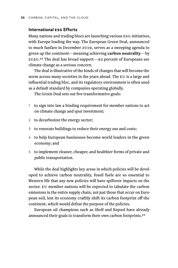## **International ESG Efforts**

Many nations and trading blocs are launching various ESG initiatives, with Europe leading the way. The European Green Deal, announced to much fanfare in December 2019, serves as a sweeping agenda to green up the continent—meaning achieving **carbon neutrality**—by 2050.22 The deal has broad support—93 percent of Europeans see climate change as a serious concern.

The deal is illustrative of the kinds of changes that will become the norm across many societies in the years ahead. The EU is a large and influential trading bloc, and its regulatory environment is often used as a default standard by companies operating globally.

The Green Deal sets out five transformative goals:

- **1** to sign into law a binding requirement for member nations to act on climate change and spur investment;
- **2** to decarbonize the energy sector;
- **3** to renovate buildings to reduce their energy use and costs;
- **4** to help European businesses become world leaders in the green economy; and
- **5** to implement cleaner, cheaper, and healthier forms of private and public transportation.

While the deal highlights key areas in which policies will be developed to achieve carbon neutrality, fossil fuels are so essential to Western life that any new policies will have spillover impacts on the sector. EU member nations will be expected to tabulate the carbon emissions in the entire supply chain, not just those that occur on European soil, lest its economy craftily shift its carbon footprint off the continent, which would defeat the purpose of the policies.

European oil champions such as Shell and Repsol have already announced their goals to transform their own carbon footprints.23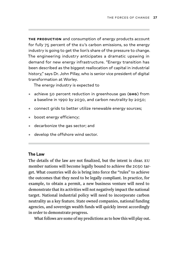**The production** and consumption of energy products account for fully 75 percent of the EU's carbon emissions, so the energy industry is going to get the lion's share of the pressure to change. The engineering industry anticipates a dramatic upswing in demand for new energy infrastructure. "Energy transition has been described as the biggest reallocation of capital in industrial history," says Dr. John Pillay, who is senior vice president of digital transformation at Worley.

The energy industry is expected to

- **•** achieve 50 percent reduction in greenhouse gas (**GHG**) from a baseline in 1990 by 2030, and carbon neutrality by 2050;
- **•** connect grids to better utilize renewable energy sources;
- **•** boost energy efficiency;
- **•** decarbonize the gas sector; and
- **•** develop the offshore wind sector.

# **The Law**

The details of the law are not finalized, but the intent is clear. EU member nations will become legally bound to achieve the 2050 target. What countries will do is bring into force the "rules" to achieve the outcomes that they need to be legally compliant. In practice, for example, to obtain a permit, a new business venture will need to demonstrate that its activities will not negatively impact the national target. National industrial policy will need to incorporate carbon neutrality as a key feature. State owned companies, national funding agencies, and sovereign wealth funds will quickly invest accordingly in order to demonstrate progress.

What follows are some of my predictions as to how this will play out.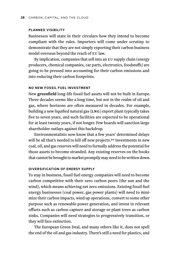#### **PLANNED VISIBILITY**

Businesses will state in their circulars how they intend to become compliant with the rules. Importers will come under scrutiny to demonstrate that they are not simply exporting their carbon business model overseas beyond the reach of EU law.

By implication, companies that sell into an EU supply chain (energy producers, chemical companies, car parts, electronics, foodstuffs) are going to be pressed into accounting for their carbon emissions and into reducing their carbon footprints.

#### **NO NEW FOSSIL FUEL INVESTMENT**

New **greenfield** long-life fossil fuel assets will not be built in Europe. Three decades seems like a long time, but not in the realm of oil and gas, where horizons are often measured in decades. For example, building a new liquified natural gas (**LNG**) export plant typically takes five to seven years, and such facilities are expected to be operational for at least twenty years, if not longer. Few boards will sanction large shareholder outlays against this backdrop.

Environmentalists now know that a few years' determined delays will be all that's needed to kill off new projects.<sup>24</sup> Investments in new coal, oil, and gas reserves will need to formally address the potential for those assets to become stranded. Any existing reserves on the books that cannot be brought to market promptly may need to be written down.

## **DIVERSIFICATION OF ENERGY SUPPLY**

To stay in business, fossil fuel energy companies will need to become carbon competitive with their zero carbon peers (the sun and the wind), which means achieving net zero emissions. Existing fossil fuel energy businesses (coal power, gas power plants) will need to minimize their carbon impacts, wind up operations, convert to some other purpose such as renewable power generation, and invest in relevant offsets such as carbon capture and storage or plant trees as carbon sinks. Companies will need strategies to progressively transition, or they will face extinction.

The European Green Deal, and many others like it, does not spell the end of the oil and gas industry. There's still a need for plastics, and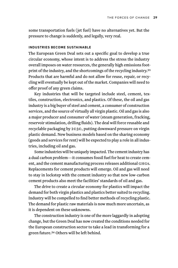some transportation fuels (jet fuel) have no alternatives yet. But the pressure to change is suddenly, and legally, very real.

#### **INDUSTRIES BECOME SUSTAINABLE**

The European Green Deal sets out a specific goal to develop a true circular economy, whose intent is to address the stress the industry overall imposes on water resources, the generally high emissions footprint of the industry, and the shortcomings of the recycling industry.25 Products that are harmful and do not allow for reuse, repair, or recycling will eventually be kept out of the market. Companies will need to offer proof of any green claims.

Key industries that will be targeted include steel, cement, textiles, construction, electronics, and plastics. Of these, the oil and gas industry is a big buyer of steel and cement, a consumer of construction services, and the source of virtually all virgin plastic. Oil and gas is also a major producer and consumer of water (steam generation, fracking, reservoir stimulation, drilling fluids). The deal will force reusable and recyclable packaging by 2030, putting downward pressure on virgin plastic demand. New business models based on the sharing economy (goods and services for rent) will be expected to play a role in all industries, including oil and gas.

Some industries will be uniquely impacted. The cement industry has a dual carbon problem—it consumes fossil fuel for heat to create cement, and the cement manufacturing process releases additional GHGs. Replacements for cement products will emerge. Oil and gas will need to stay in lockstep with the cement industry so that new low-carbon cement products also meet the facilities' standards of oil and gas.

The drive to create a circular economy for plastics will impact the demand for both virgin plastics and plastics better suited to recycling. Industry will be compelled to find better methods of recycling plastic. The demand for plastic raw materials is now much more uncertain, as it is dependent on these unknowns.

The construction industry is one of the more laggardly in adopting change, but the Green Deal has now created the conditions needed for the European construction sector to take a lead in transforming for a green future.26 Others will be left behind.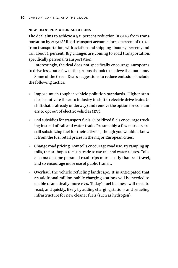#### **NEW TRANSPORTATION SOLUTIONS**

The deal aims to achieve a 90 percent reduction in GHG from transportation by 2050.27 Road transport accounts for 72 percent of GHGs from transportation, with aviation and shipping about 27 percent, and rail about 1 percent. Big changes are coming to road transportation, specifically personal transportation.

Interestingly, the deal does not specifically encourage Europeans to drive less, but a few of the proposals look to achieve that outcome.

Some of the Green Deal's suggestions to reduce emissions include the following tactics:

- **•** Impose much tougher vehicle pollution standards. Higher standards motivate the auto industry to shift to electric drive trains (a shift that is already underway) and remove the option for consumers to opt out of electric vehicles (**EV**).
- **•** End subsidies for transport fuels. Subsidized fuels encourage trucking instead of rail and water trade. Presumably a few markets are still subsidizing fuel for their citizens, though you wouldn't know it from the fuel retail prices in the major European cities.
- **•** Change road pricing. Low tolls encourage road use. By ramping up tolls, the EU hopes to push trade to use rail and water routes. Tolls also make some personal road trips more costly than rail travel, and so encourage more use of public transit.
- **•** Overhaul the vehicle refueling landscape. It is anticipated that an additional million public charging stations will be needed to enable dramatically more EVs. Today's fuel business will need to react, and quickly, likely by adding charging stations and refueling infrastructure for new cleaner fuels (such as hydrogen).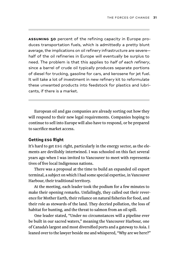**Assuming 50** percent of the refining capacity in Europe produces transportation fuels, which is admittedly a pretty blunt average, the implications on oil refinery infrastructure are severe half of the oil refineries in Europe will eventually be surplus to need. The problem is that this applies to *half of each refinery*, since a barrel of crude oil typically produces separate portions of diesel for trucking, gasoline for cars, and kerosene for jet fuel. It will take a lot of investment in new refinery kit to reformulate these unwanted products into feedstock for plastics and lubricants, if there is a market.

European oil and gas companies are already sorting out how they will respond to their new legal requirements. Companies hoping to continue to sell into Europe will also have to respond, or be prepared to sacrifice market access.

# **Getting ESG Right**

It's hard to get ESG right, particularly in the energy sector, as the elements are devilishly intertwined. I was schooled on this fact several years ago when I was invited to Vancouver to meet with representatives of five local Indigenous nations.

There was a proposal at the time to build an expanded oil export terminal, a subject on which I had some special expertise, in Vancouver Harbour, their traditional territory.

At the meeting, each leader took the podium for a few minutes to make their opening remarks. Unfailingly, they called out their reverence for Mother Earth, their reliance on natural fisheries for food, and their role as stewards of the land. They decried pollution, the loss of habitat for hunting, and the threat to salmon from an oil spill.

One leader stated, "Under no circumstances will a pipeline ever be built in our sacred waters," meaning the Vancouver Harbour, one of Canada's largest and most diversified ports and a gateway to Asia. I leaned over to the lawyer beside me and whispered, "Why are we here?"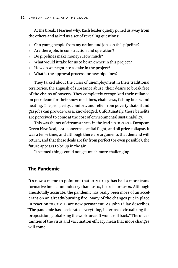At the break, I learned why. Each leader quietly pulled us away from the others and asked us a set of revealing questions:

- **•** Can young people from my nation find jobs on this pipeline?
- **•** Are there jobs in construction and operation?
- **•** Do pipelines make money? How much?
- **•** What would it take for us to be an owner in this project?
- **•** How do we negotiate a stake in the project?
- **•** What is the approval process for new pipelines?

They talked about the crisis of unemployment in their traditional territories, the anguish of substance abuse, their desire to break free of the chains of poverty. They completely recognized their reliance on petroleum for their snow machines, chainsaws, fishing boats, and heating. The prosperity, comfort, and relief from poverty that oil and gas jobs can provide was acknowledged. Unfortunately, these benefits are perceived to come at the cost of environmental sustainability.

This was the set of circumstances in the lead-up to 2020. European Green New Deal, ESG concerns, capital flight, and oil price collapse. It was a tense time, and although there are arguments that demand will return, and that these deals are far from perfect (or even possible), the future appears to be up in the air.

It seemed things could not get much more challenging.

# The Pandemic

It's now a meme to point out that COVID-19 has had a more transformative impact on industry than CEOs, boards, or CFOs. Although anecdotally accurate, the pandemic has really been more of an accelerant on an already-burning fire. Many of the changes put in place in reaction to COVID are now permanent. As John Pillay describes, "The pandemic has accelerated everything, in terms of virtualizing the proposition, globalizing the workforce. It won't roll back." The uncertainties of the virus and vaccination efficacy mean that more changes will come.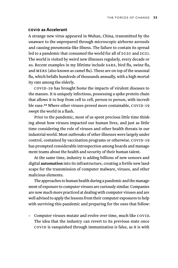## **COVID as Accelerant**

A strange new virus appeared in Wuhan, China, transmitted by the unaware to the unprepared through microscopic airborne aerosols and causing pneumonia-like illness. The failure to contain its spread led to a pandemic that consumed the world for all of 2020 and 2021. The world is visited by weird new illnesses regularly, every decade or so. Recent examples in my lifetime include SARS, bird flu, swine flu, and MERS (also known as camel flu). These are on top of the seasonal flu, which befalls hundreds of thousands annually, with a high mortality rate among the elderly.

COVID-19 has brought home the impacts of virulent diseases to the masses. It is uniquely infectious, possessing a spike protein chain that allows it to hop from cell to cell, person to person, with incredible ease.28 Where other viruses proved more containable, COVID-19 swept the world in a flash.

Prior to the pandemic, most of us spent precious little time thinking about how viruses impacted our human lives, and just as little time considering the role of viruses and other health threats in our industrial world. Most outbreaks of other illnesses were largely under control, contained by vaccination programs or otherwise. COVID-19 has prompted considerable introspection among boards and management teams about the health and security of their human talent.

At the same time, industry is adding billions of new sensors and digital **automation** into its infrastructure, creating a fertile new landscape for the transmission of computer malware, viruses, and other malicious elements.

The approaches to human health during a pandemic and the management of exposure to computer viruses are curiously similar. Companies are now much more practiced at dealing with computer viruses and are well advised to apply the lessons from their computer exposures to help with surviving this pandemic and preparing for the ones that follow:

**•** Computer viruses mutate and evolve over time, much like COVID. The idea that the industry can revert to its previous state once COVID is vanquished through immunization is false, as it is with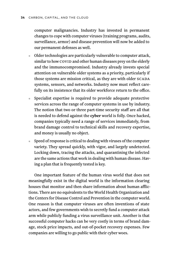computer malignancies. Industry has invested in permanent changes to cope with computer viruses (training programs, audits, surveillance, armor) and disease prevention will now be added to our permanent defenses as well.

- **•** Older technologies are particularly vulnerable to computer attack, similar to how COVID and other human diseases prey on the elderly and the immunocompromised. Industry already invests special attention on vulnerable older systems as a priority, particularly if those systems are mission critical, as they are with older SCADA systems, sensors, and networks. Industry now must reflect carefully on its insistence that its older workforce return to the office.
- **•** Specialist expertise is required to provide adequate protective services across the range of computer systems in use by industry. The notion that two or three part-time security staff are all that is needed to defend against the **cyber** world is folly. Once hacked, companies typically need a range of services immediately, from brand damage control to technical skills and recovery expertise, and money is usually no object.
- **•** Speed of response is critical to dealing with viruses of the computer variety. They spread quickly, with vigor, and largely undetected. Locking down, tracing the attacks, and quarantining the infected are the same actions that work in dealing with human disease. Having a plan that is frequently tested is key.

One important feature of the human virus world that does not meaningfully exist in the digital world is the information clearing houses that monitor and then share information about human afflictions. There are no equivalents to the World Health Organization and the Centers for Disease Control and Prevention in the computer world. One reason is that computer viruses are often inventions of state actors, and few governments wish to secretly fund a computer attack arm while publicly funding a virus surveillance unit. Another is that successful computer hacks can be very costly in terms of brand damage, stock price impacts, and out-of-pocket recovery expenses. Few companies are willing to go public with their cyber woes.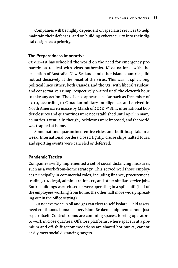Companies will be highly dependent on specialist services to help maintain their defenses, and on building cybersecurity into their digital designs as a priority.

# **The Preparedness Imperative**

COVID-19 has schooled the world on the need for emergency preparedness to deal with virus outbreaks. Most nations, with the exception of Australia, New Zealand, and other island countries, did not act decisively at the onset of the virus. This wasn't split along political lines either; both Canada and the US, with liberal Trudeau and conservative Trump, respectively, waited until the eleventh hour to take any action. The disease appeared as far back as December of 2019, according to Canadian military intelligence, and arrived in North America en masse by March of 2020.29 Still, international border closures and quarantines were not established until April in many countries. Eventually, though, lockdowns were imposed, and the world was trapped at home.

Some nations quarantined entire cities and built hospitals in a week. International borders closed tightly, cruise ships halted tours, and sporting events were canceled or deferred.

# **Pandemic Tactics**

Companies swiftly implemented a set of social distancing measures, such as a work-from-home strategy. This served well those employees principally in commercial roles, including finance, procurement, trading, HR, legal, administration, **IT**, and other similar service jobs. Entire buildings were closed or were operating in a split shift (half of the employees working from home, the other half more widely spreading out in the office setting).

But not everyone in oil and gas can elect to self-isolate. Field assets need continuous human supervision. Broken equipment cannot just repair itself. Control rooms are confining spaces, forcing operators to work in close quarters. Offshore platforms, where space is at a premium and off-shift accommodations are shared hot bunks, cannot easily meet social distancing targets.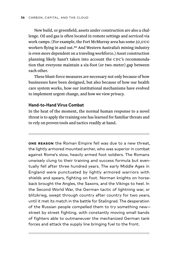New build, or greenfield, assets under construction are also a challenge. Oil and gas is often located in remote settings and serviced via work camps. (For example, the Fort McMurray area has some 32,000 workers flying in and out.30 And Western Australia's mining industry is even more dependent on a traveling workforce.) Asset construction planning likely hasn't taken into account the CDC's recommendation that everyone maintain a six-foot (or two-meter) gap between each other.

These blunt-force measures are necessary not only because of how businesses have been designed, but also because of how our health care system works, how our institutional mechanisms have evolved to implement urgent change, and how we view privacy.

# **Hand-to-Hand Virus Combat**

In the heat of the moment, the normal human response to a novel threat is to apply the training one has learned for familiar threats and to rely on proven tools and tactics readily at hand.

**One reason** the Roman Empire fell was due to a new threat, the lightly armored mounted archer, who was superior in combat against Rome's slow, heavily armed foot soldiers. The Romans unwisely clung to their training and success formula but eventually fell after three hundred years. The early Middle Ages in England were punctuated by lightly armored warriors with shields and spears, fighting on foot. Norman knights on horseback brought the Angles, the Saxons, and the Vikings to heel. In the Second World War, the German tactic of lightning war, or blitzkrieg, swept through country after country for two years, until it met its match in the battle for Stalingrad. The desperation of the Russian people compelled them to try something new street by street fighting, with constantly moving small bands of fighters able to outmaneuver the mechanized German tank forces and attack the supply line bringing fuel to the front.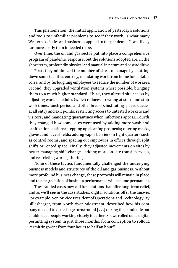This phenomenon, the initial application of yesterday's solutions and tools to unfamiliar problems to see if they work, is what many Western societies and businesses applied to the pandemic. It was likely far more costly than it needed to be.

Over time, the oil and gas sector put into place a comprehensive program of pandemic response, but the solutions adopted are, in the short term, profoundly physical and manual in nature and cost additive.

First, they minimized the number of sites to manage by shutting down some facilities entirely, mandating work from home for suitable roles, and by furloughing employees to reduce the number of workers. Second, they upgraded ventilation systems where possible, bringing them to a much higher standard. Third, they altered site access by adjusting work schedules (which reduces crowding at start- and stopwork times, lunch period, and other breaks), instituting spaced queues at all entry and exit points, restricting access to untested workers and visitors, and mandating quarantines when infections appear. Fourth, they changed how some sites were used by adding more wash and sanitization stations; stepping up cleaning protocols; offering masks, gloves, and face shields; adding vapor barriers in tight quarters such as control rooms; and spacing out employees in offices through split shifts or rented space. Finally, they adjusted movements on sites by better managing shift changes, adding more on-site transit services, and restricting work gatherings.

None of these tactics fundamentally challenged the underlying business models and structures of the oil and gas business. Without more profound business change, these protocols will remain in place, and the degradation of business performance will become permanent.

These added costs now call for solutions that offer long-term relief, and as we'll see in the case studies, digital solutions offer the answer. For example, Senior Vice President of Operations and Technology Jay Billesberger, from NorthRiver Midstream, described how his company needed to do "a huge turnaround [ . . .] during the pandemic but couldn't get people working closely together. So, we rolled out a digital permitting system in just three months, from conception to rollout. Permitting went from four hours to half an hour."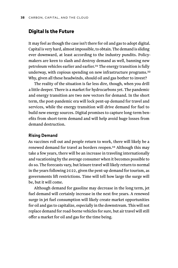# Digital Is the Future

It may feel as though the case isn't there for oil and gas to adopt digital. Capital is very hard, almost impossible, to obtain. The demand is sliding ever downward, at least according to the industry pundits. Policymakers are keen to slash and destroy demand as well, banning new petroleum vehicles earlier and earlier.31 The energy transition is fully underway, with copious spending on new infrastructure programs.<sup>32</sup> Why, given all these headwinds, should oil and gas bother to invest?

The reality of the situation is far less dire, though, when you drill a little deeper. There is a market for hydrocarbons yet. The pandemic and energy transition are two new vectors for demand. In the short term, the post-pandemic era will lock pent-up demand for travel and services, while the energy transition will drive demand for fuel to build new energy sources. Digital promises to capture long-term benefits from short-term demand and will help avoid huge losses from demand destruction.

# **Rising Demand**

As vaccines roll out and people return to work, there will likely be a renewed demand for travel as borders reopen.33 Although this may take a few years, there will be an increase in traveling internationally and vacationing by the average consumer when it becomes possible to do so. The forecasts vary, but leisure travel will likely return to normal in the years following 2022, given the pent-up demand for tourism, as governments lift restrictions. Time will tell how large the surge will be, but it will come.

Although demand for gasoline may decrease in the long term, jet fuel demand will certainly increase in the next five years. A renewed surge in jet fuel consumption will likely create market opportunities for oil and gas to capitalize, especially in the downstream. This will not replace demand for road-borne vehicles for sure, but air travel will still offer a market for oil and gas for the time being.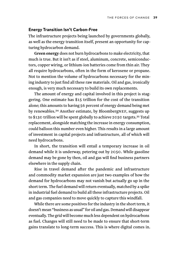## **Energy Transition Isn't Carbon-Free**

The infrastructure projects being launched by governments globally, as well as the energy transition itself, present an opportunity for capturing hydrocarbon demand.

**Green energy** does not burn hydrocarbons to make electricity, that much is true. But it isn't as if steel, aluminum, concrete, semiconductors, copper wiring, or lithium-ion batteries come from thin air. They all require hydrocarbons, often in the form of kerosene or propane. Not to mention the volume of hydrocarbons necessary for the mining industry to just find all these raw materials. Oil and gas, ironically enough, is very much necessary to build its own replacements.

The amount of energy and capital involved in this project is staggering. One estimate has \$15 trillion for the cost of the transition alone; this amounts to having 56 percent of energy demand being met by renewables.<sup>34</sup> Another estimate, by BloombergNEF, suggests up to \$130 trillion will be spent globally to achieve 2050 targets.35 Total replacement, alongside matching the increase in energy consumption, could balloon this number even higher. This results in a large amount of investment in capital projects and infrastructure, all of which will need hydrocarbons.

In short, the transition will entail a temporary increase in oil demand while it is underway, petering out by 2050. While gasoline demand may be gone by then, oil and gas will find business partners elsewhere in the supply chain.

Rise in travel demand after the pandemic and infrastructure and commodity market expansion are just two examples of how the demand for hydrocarbons may not vanish but actually go up in the short term. The fuel demand will return eventually, matched by a spike in industrial fuel demand to build all these infrastructure projects. Oil and gas companies need to move quickly to capture this windfall.

While there are some positives for the industry in the short term, it doesn't mean "business as usual" for oil and gas. Demand *will* disappear eventually. The grid will become much less dependent on hydrocarbons as fuel. Changes will still need to be made to ensure that short-term gains translate to long-term success. This is where digital comes in.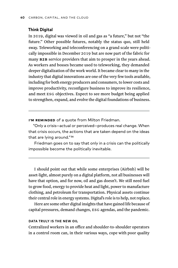## **Think Digital**

In 2019, digital was viewed in oil and gas as "a future," but not "the future." Other possible futures, notably the status quo, still held sway. Teleworking and teleconferencing on a grand scale were politically impossible in December 2019 but are now part of the fabric for many **B2B** service providers that aim to prosper in the years ahead. As workers and bosses became used to teleworking, they demanded deeper digitalization of the work world. It became clear to many in the industry that digital innovations are one of the very few tools available, including for both energy producers and consumers, to lower costs and improve productivity, reconfigure business to improve its resilience, and meet ESG objectives. Expect to see more budget being applied to strengthen, expand, and evolve the digital foundations of business.

**I'm reminded** of a quote from Milton Friedman.

"Only a crisis—actual or perceived—produces real change. When that crisis occurs, the actions that are taken depend on the ideas that are lying around."36

Friedman goes on to say that only in a crisis can the politically impossible become the politically inevitable.

I should point out that while some enterprises (Airbnb) will be asset-light, almost purely on a digital platform, not all businesses will have that option, and for now, oil and gas doesn't. We still need fuel to grow food, energy to provide heat and light, power to manufacture clothing, and petroleum for transportation. Physical assets continue their central role in energy systems. Digital's role is to help, not replace.

Here are some other digital insights that have gained life because of capital pressures, demand changes, ESG agendas, and the pandemic.

#### **DATA TRULY IS THE NEW OIL**

Centralized workers in an office and shoulder-to-shoulder operators in a control room can, in their various ways, cope with poor quality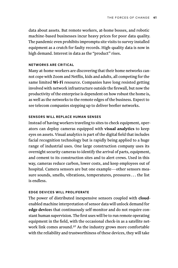data about assets. But remote workers, at-home bosses, and robotic machine-based businesses incur heavy prices for poor data quality. The pandemic even prohibits impromptu site visits to survey installed equipment as a crutch for faulty records. High-quality data is now in high demand. Interest in data as the "product" rises.

## **NETWORKS ARE CRITICAL**

Many at-home-workers are discovering that their home networks cannot cope with Zoom and Netflix, kids and adults, all competing for the same limited **Wi-Fi** resource. Companies have long resisted getting involved with network infrastructure outside the firewall, but now the productivity of the enterprise is dependent on how robust the home is, as well as the networks to the remote edges of the business. Expect to see telecom companies stepping up to deliver beefier networks.

# **SENSORS WILL REPLACE HUMAN SENSES**

Instead of having workers traveling to sites to check equipment, operators can deploy cameras equipped with **visual analytics** to keep eyes on assets. Visual analytics is part of the digital field that includes facial recognition technology but is rapidly being applied to a huge range of industrial uses. One large construction company uses its overnight security cameras to identify the arrival of parts, equipment, and cement to its construction sites and to alert crews. Used in this way, cameras reduce carbon, lower costs, and keep employees out of hospital. Camera sensors are but one example—other sensors measure sounds, smells, vibrations, temperatures, pressures . . . the list is endless.

## **EDGE DEVICES WILL PROLIFERATE**

The power of distributed inexpensive sensors coupled with **cloud**enabled machine interpretation of sensor data will unlock demand for **edge device**s that continuously self-monitor and do not require constant human supervision. The first uses will be to run remote operating equipment in the field, with the occasional check-in as a satellite network link comes around.37 As the industry grows more comfortable with the reliability and trustworthiness of these devices, they will take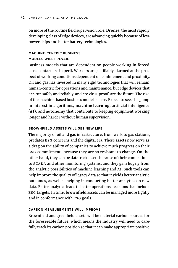on more of the routine field supervision role. **Drone**s, the most rapidly developing class of edge devices, are advancing quickly because of lowpower chips and better battery technologies.

# **MACHINE-CENTRIC BUSINESS MODELS WILL PREVAIL**

Business models that are dependent on people working in forced close contact are in peril. Workers are justifiably alarmed at the prospect of working conditions dependent on confinement and proximity. Oil and gas has invested in many rigid technologies that will remain human-centric for operations and maintenance, but edge devices that can run safely and reliably, and are virus-proof, are the future. The rise of the machine-based business model is here. Expect to see a big jump in interest in algorithms, **machine learning**, artificial intelligence (**AI**), and **autonomy** that contribute to keeping equipment working longer and harder without human supervision.

## **BROWNFIELD ASSETS WILL GET NEW LIFE**

The majority of oil and gas infrastructure, from wells to gas stations, predates ESG concerns and the digital era. These assets now serve as a drag on the ability of companies to achieve much progress on their ESG commitments because they are so resistant to change. On the other hand, they can be data-rich assets because of their connections to SCADA and other monitoring systems, and they gain hugely from the analytic possibilities of machine learning and AI. Such tools can help improve the quality of legacy data so that it yields better analytic outcomes, as well as helping in conducting better analytics on new data. Better analytics leads to better operations decisions that include ESG targets. In time, **brownfield** assets can be managed more tightly and in conformance with ESG goals.

## **CARBON MEASUREMENTS WILL IMPROVE**

Brownfield and greenfield assets will be material carbon sources for the foreseeable future, which means the industry will need to carefully track its carbon position so that it can make appropriate positive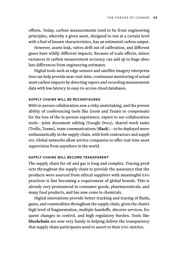offsets. Today, carbon measurements tend to be from engineering principles, whereby a given asset, designed to run at a certain level with a fuel of known characteristics, has an estimated carbon output.

However, assets leak, valves drift out of calibration, and different gases have wildly different impacts. Because of scale effects, minor variances in carbon measurement accuracy can add up to huge absolute differences from engineering estimates.

Digital tools such as edge sensors and satellite imagery interpretation can help provide near-real-time, continuous monitoring of actual asset carbon impacts by detecting vapors and recording measurement data with low latency in easy-to-access cloud databases.

#### **SUPPLY CHAINS WILL BE RECONFIGURED**

With in-person collaboration now a risky undertaking, and the proven ability of conferencing tools like Zoom and Teams to compensate for the loss of the in-person experience, expect to see collaboration tools—joint document editing (Google Docs), shared work tasks (Trello, Teams), team communications (**Slack**)—to be deployed more enthusiastically in the supply chain, with both contractors and suppliers. Global networks allow service companies to offer real-time asset supervision from anywhere in the world.

## **SUPPLY CHAINS WILL BECOME TRANSPARENT**

The supply chain for oil and gas is long and complex. Tracing products throughout the supply chain to provide the assurance that the products were sourced from ethical suppliers with meaningful ESG practices is fast becoming a requirement of global brands. This is already very pronounced in consumer goods, pharmaceuticals, and many food products, and has now come to chemicals.

Digital innovations provide better tracking and tracing of fluids, gases, and commodities throughout the supply chain, given the chain's high level of fragmentation, multiple handoffs, discrete services, frequent changes in control, and high regulatory burden. Tools like **blockchain** are now very handy in helping deliver the transparency that supply chain participants need to assert to their ESG metrics.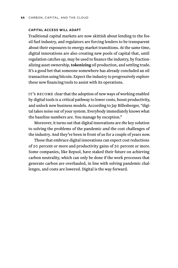#### **CAPITAL ACCESS WILL ADAPT**

Traditional capital markets are now skittish about lending to the fossil fuel industry, and regulators are forcing lenders to be transparent about their exposures to energy market transitions. At the same time, digital innovations are also creating new pools of capital that, until regulation catches up, may be used to finance the industry, by fractionalizing asset ownership, **tokenizing** oil production, and settling trade. It's a good bet that someone somewhere has already concluded an oil transaction using bitcoin. Expect the industry to progressively explore these new financing tools to assist with its operations.

IT'S BECOME clear that the adoption of new ways of working enabled by digital tools is a critical pathway to lower costs, boost productivity, and unlock new business models. According to Jay Billesberger, "digital takes noise out of your system. Everybody immediately knows what the baseline numbers are. You manage by exception."

Moreover, it turns out that digital innovations are *the* key solution to solving the problems of the pandemic *and* the cost challenges of the industry. And they've been in front of us for a couple of years now.

Those that embrace digital innovations can expect cost reductions of 20 percent or more and productivity gains of 20 percent or more. Some companies, like Repsol, have staked their future on achieving carbon neutrality, which can only be done if the work processes that generate carbon are overhauled, in line with solving pandemic challenges, and costs are lowered. Digital is the way forward.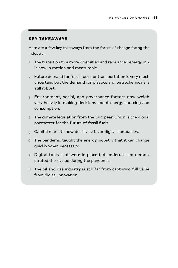# KEY TAKEAWAYS

Here are a few key takeaways from the forces of change facing the industry:

- **1** The transition to a more diversified and rebalanced energy mix is now in motion and measurable.
- **2** Future demand for fossil fuels for transportation is very much uncertain, but the demand for plastics and petrochemicals is still robust.
- **3** Environment, social, and governance factors now weigh very heavily in making decisions about energy sourcing and consumption.
- **4** The climate legislation from the European Union is the global pacesetter for the future of fossil fuels.
- **5** Capital markets now decisively favor digital companies.
- **6** The pandemic taught the energy industry that it can change quickly when necessary.
- **7** Digital tools that were in place but underutilized demonstrated their value during the pandemic.
- **8** The oil and gas industry is still far from capturing full value from digital innovation.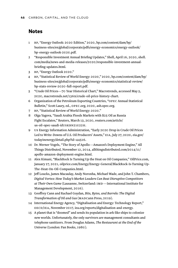# Notes

- 1 BP, "Energy Outlook: 2020 Edition," 2020, bp.com/content/dam/bp/ business-sites/en/global/corporate/pdfs/energy-economics/energy-outlook/ bp-energy-outlook-2020.pdf.
- 2 "Responsible Investment Annual Briefing Updates," Shell, April 16, 2020, shell. com/media/news-and-media-releases/2020/responsible-investment-annualbriefing-updates.html.
- 3 BP, "Energy Outlook 2020."
- 4 BP, "Statistical Review of World Energy: 2020," 2020, bp.com/content/dam/bp/ business-sites/en/global/corporate/pdfs/energy-economics/statistical-review/ bp-stats-review-2020-full-report.pdf.
- 5 "Crude Oil Prices—70 Year Historical Chart," Macrotrends, accessed May 5, 2020, macrotrends.net/1369/crude-oil-price-history-chart.
- 6 Organization of the Petroleum Exporting Countries, "OPEC Annual Statistical Bulletin," Scott Laury, ed., OPEC.org, 2020, asb.opec.org.
- 7 BP, "Statistical Review of World Energy: 2020."
- 8 Olga Yagova, "Saudi Arabia Floods Markets with \$25 Oil as Russia Fight Escalates," Reuters, March 13, 2020, reuters.com/article/ us-oil-opec-saudi-idUSKBN21022H.
- 9 US Energy Information Administration, "Early 2020 Drop in Crude Oil Prices Led to Write-Downs of U.S. Oil Producers' Assets," EIA, July 27, 2020, eia.gov/ todayinenergy/detail.php?id=44516.
- 10 Dr. Werner Vogels, "The Story of Apollo—Amazon's Deployment Engine," All Things Distributed, November 12, 2014, allthingsdistributed.com/2014/11/ apollo-amazon-deployment-engine.html.
- 11 Alex Kimani, "BlackRock Is Turning Up the Heat on Oil Companies," OilPrice.com, January 27, 2021, oilprice.com/Energy/Energy-General/BlackRock-Is-Turning-Up-The-Heat-On-Oil-Companies.html.
- 12 Jeff Loucks, James Macaulay, Andy Noronha, Michael Wade, and John T. Chambers, *Digital Vortex: How Today's Market Leaders Can Beat Disruptive Competitors at Their Own Game* (Lausanne, Switzerland: IMD—International Institute for Management Development, 2016).
- 13 Geoffrey Cann and Rachael Goydan, *Bits, Bytes, and Barrels: The Digital Transformation of Oil and Gas* (MADCann Press, 2019).
- 14 International Energy Agency, "Digitalisation and Energy: Technology Report," OECD/IEA, November 2017, iea.org/reports/digitalisation-and-energy.
- 15 A planet that is "doomed" and sends its population in ark-like ships to colonize new worlds. Unfortunately, the only survivors are management consultants and telephone sanitizers. From Douglas Adams, *The Restaurant at the End of the Universe* (London: Pan Books, 1980).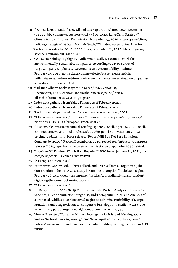- 16 "Denmark Set to End All New Oil and Gas Exploration," BBC News, December 4, 2020, bbc.com/news/business-55184580; "2050 Long-Term Strategy," Climate Action, European Commission, November 23, 2016, ec.europa.eu/clima/ policies/strategies/2050\_en; Matt McGrath, "Climate Change: China Aims for 'Carbon Neutrality by 2060,'" BBC News, September 22, 2020, bbc.com/news/ science-environment-54256826.
- 17 G&A Sustainability Highlights, "Millennials Really Do Want To Work for Environmentally-Sustainable Companies, According to a New Survey of Large Company Employees," Governance and Accountability Institute, February 23, 2019, ga-institute.com/newsletter/press-release/article/ millennials-really-do-want-to-work-for-environmentally-sustainable-companiesaccording-to-a-new-su.html.
- 18 "Oil-Rich Alberta Seeks Ways to Go Green," *The Economist*, December 3, 2020, economist.com/the-americas/2020/12/05/ oil-rich-alberta-seeks-ways-to-go-green.
- 19 Index data gathered from Yahoo Finance as of February 2021.
- 20 Index data gathered from Yahoo Finance as of February 2021.
- 21 Stock price data gathered from Yahoo Finance as of February 2021.
- 22 "A European Green Deal," European Commission, ec.europa.eu/info/strategy/ priorities-2019-2024/european-green-deal\_en.
- 23 "Responsible Investment Annual Briefing Updates," Shell, April 16, 2020, shell. com/media/news-and-media-releases/2020/responsible-investment-annualbriefing-updates.html; Press release, "Repsol Will Be a Net Zero Emissions Company by 2050," Repsol, December 3, 2019, repsol.com/en/press-room/pressreleases/2019/repsol-will-be-a-net-zero-emissions-company-by-2050.cshtml.
- 24 "Keystone XL Pipeline: Why Is It so Disputed?" BBC News, January 21, 2021, bbc. com/news/world-us-canada-30103078.
- 25 "A European Green Deal."
- 26 Peter Evans-Greenwood, Robert Hillard, and Peter Williams, "Digitalizing the Construction Industry: A Case Study in Complex Disruption," Deloitte Insights, February 26, 2019, deloitte.com/us/en/insights/topics/digital-transformation/ digitizing-the-construction-industry.html.
- 27 "A European Green Deal."
- 28 Dr. Barry Robson, "COVID-19 Coronavirus Spike Protein Analysis for Synthetic Vaccines, a Peptidomimetic Antagonist, and Therapeutic Drugs, and Analysis of a Proposed Achilles' Heel Conserved Region to Minimize Probability of Escape Mutations and Drug Resistance," *Computers in Biology and Medicine* 121 ( June 2020): 103749, doi.org/10.1016/j.compbiomed.2020.103749.
- 29 Murray Brewster, "Canadian Military Intelligence Unit Issued Warning about Wuhan Outbreak Back in January," CBC News, April 10, 2020, cbc.ca/news/ politics/coronavirus-pandemic-covid-canadian-military-intelligence-wuhan-1.55 28381.